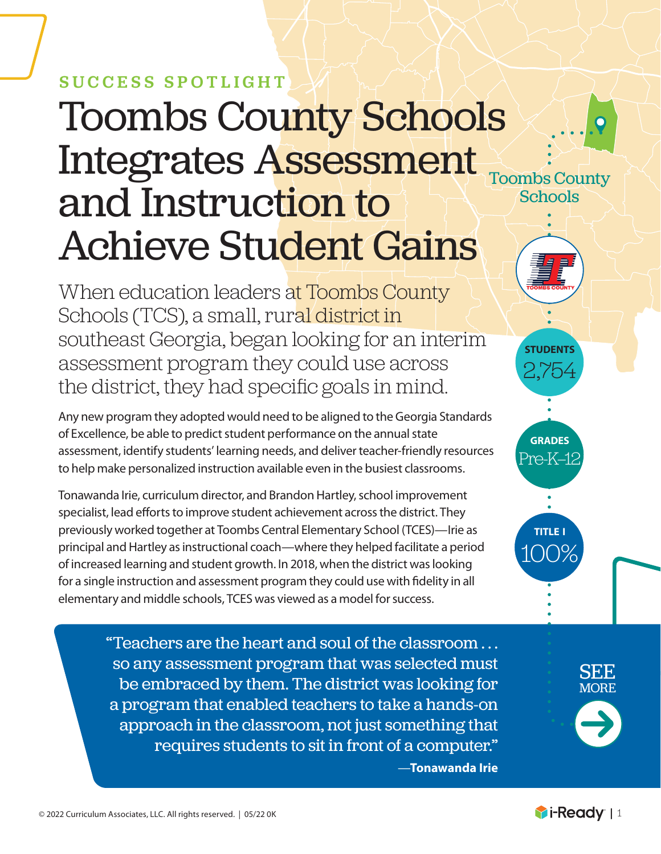## SUCCESS SPOTLIGHT

# Toombs County Schools Integrates Assessment and Instruction to Achieve Student Gains

When education leaders at Toombs County Schools (TCS), a small, rural district in southeast Georgia, began looking for an interim assessment program they could use across the district, they had specific goals in mind.

Any new program they adopted would need to be aligned to the Georgia Standards of Excellence, be able to predict student performance on the annual state assessment, identify students' learning needs, and deliver teacher-friendly resources to help make personalized instruction available even in the busiest classrooms.

Tonawanda Irie, curriculum director, and Brandon Hartley, school improvement specialist, lead efforts to improve student achievement across the district. They previously worked together at Toombs Central Elementary School (TCES)—Irie as principal and Hartley as instructional coach—where they helped facilitate a period of increased learning and student growth. In 2018, when the district was looking for a single instruction and assessment program they could use with fidelity in all elementary and middle schools, TCES was viewed as a model for success.

> "Teachers are the heart and soul of the classroom . . . so any assessment program that was selected must be embraced by them. The district was looking for a program that enabled teachers to take a hands-on approach in the classroom, not just something that requires students to sit in front of a computer." —**Tonawanda Irie**



**students** 2,754

**grades** Pre-K–12

**title i**

100%

SEE MORE

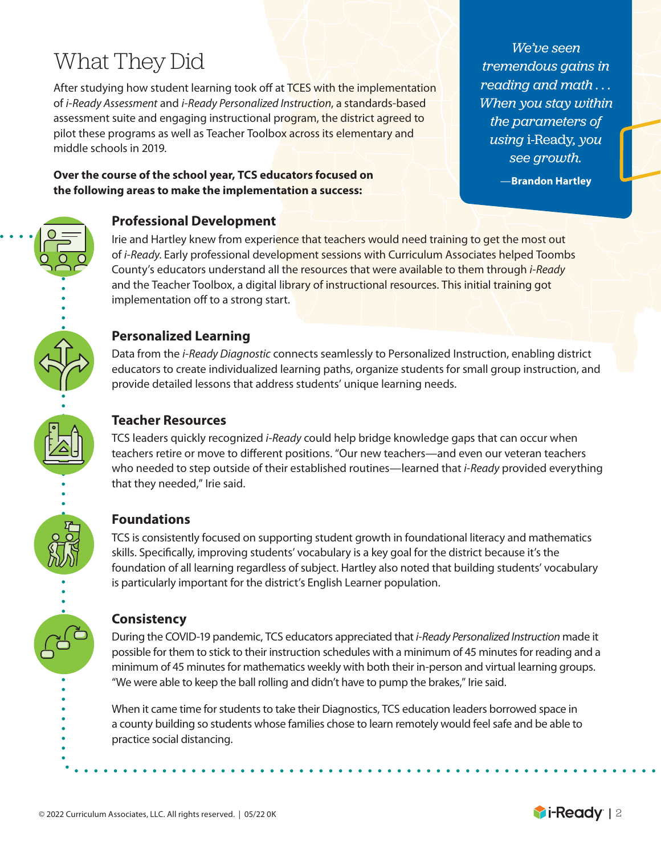### What They Did

After studying how student learning took off at TCES with the implementation of *i-Ready Assessment* and *i-Ready Personalized Instruction*, a standards-based assessment suite and engaging instructional program, the district agreed to pilot these programs as well as Teacher Toolbox across its elementary and middle schools in 2019.

**Over the course of the school year, TCS educators focused on the following areas to make the implementation a success:** 

#### **Professional Development**

Irie and Hartley knew from experience that teachers would need training to get the most out of *i-Ready*. Early professional development sessions with Curriculum Associates helped Toombs County's educators understand all the resources that were available to them through *i-Ready* and the Teacher Toolbox, a digital library of instructional resources. This initial training got implementation off to a strong start.

#### **Personalized Learning**

Data from the *i-Ready Diagnostic* connects seamlessly to Personalized Instruction, enabling district educators to create individualized learning paths, organize students for small group instruction, and provide detailed lessons that address students' unique learning needs.

#### **Teacher Resources**

TCS leaders quickly recognized *i-Ready* could help bridge knowledge gaps that can occur when teachers retire or move to different positions. "Our new teachers—and even our veteran teachers who needed to step outside of their established routines—learned that *i-Ready* provided everything that they needed," Irie said.

#### **Foundations**

TCS is consistently focused on supporting student growth in foundational literacy and mathematics skills. Specifically, improving students' vocabulary is a key goal for the district because it's the foundation of all learning regardless of subject. Hartley also noted that building students' vocabulary is particularly important for the district's English Learner population.

#### **Consistency**

During the COVID-19 pandemic, TCS educators appreciated that *i-Ready Personalized Instruction* made it possible for them to stick to their instruction schedules with a minimum of 45 minutes for reading and a minimum of 45 minutes for mathematics weekly with both their in-person and virtual learning groups. "We were able to keep the ball rolling and didn't have to pump the brakes," Irie said.

When it came time for students to take their Diagnostics, TCS education leaders borrowed space in a county building so students whose families chose to learn remotely would feel safe and be able to practice social distancing.



—**Brandon Hartley**